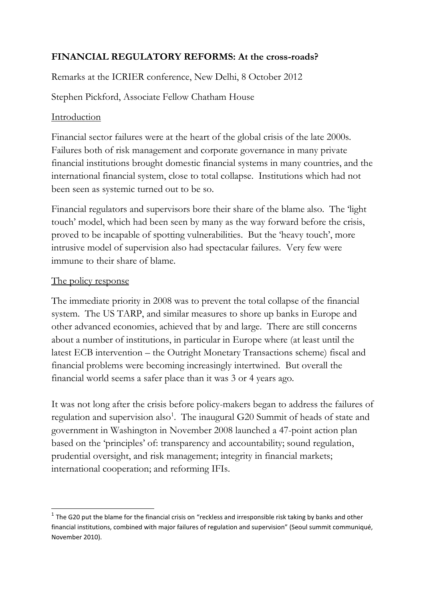# **FINANCIAL REGULATORY REFORMS: At the cross-roads?**

Remarks at the ICRIER conference, New Delhi, 8 October 2012

Stephen Pickford, Associate Fellow Chatham House

## Introduction

Financial sector failures were at the heart of the global crisis of the late 2000s. Failures both of risk management and corporate governance in many private financial institutions brought domestic financial systems in many countries, and the international financial system, close to total collapse. Institutions which had not been seen as systemic turned out to be so.

Financial regulators and supervisors bore their share of the blame also. The 'light' touch' model, which had been seen by many as the way forward before the crisis, proved to be incapable of spotting vulnerabilities. But the 'heavy touch', more intrusive model of supervision also had spectacular failures. Very few were immune to their share of blame.

### The policy response

The immediate priority in 2008 was to prevent the total collapse of the financial system. The US TARP, and similar measures to shore up banks in Europe and other advanced economies, achieved that by and large. There are still concerns about a number of institutions, in particular in Europe where (at least until the latest ECB intervention – the Outright Monetary Transactions scheme) fiscal and financial problems were becoming increasingly intertwined. But overall the financial world seems a safer place than it was 3 or 4 years ago.

It was not long after the crisis before policy-makers began to address the failures of regulation and supervision also<sup>1</sup>. The inaugural G20 Summit of heads of state and government in Washington in November 2008 launched a 47-point action plan based on the 'principles' of: transparency and accountability; sound regulation, prudential oversight, and risk management; integrity in financial markets; international cooperation; and reforming IFIs.

**THE CONSTAND TO A THE CONSTAND TO A THE CONSTANDED THE CONSTAND OF THE CONSTAND**<br>The G20 put the blame for the financial crisis on "reckless and irresponsible risk taking by banks and other financial institutions, combined with major failures of regulation and supervision" (Seoul summit communiqué, November 2010).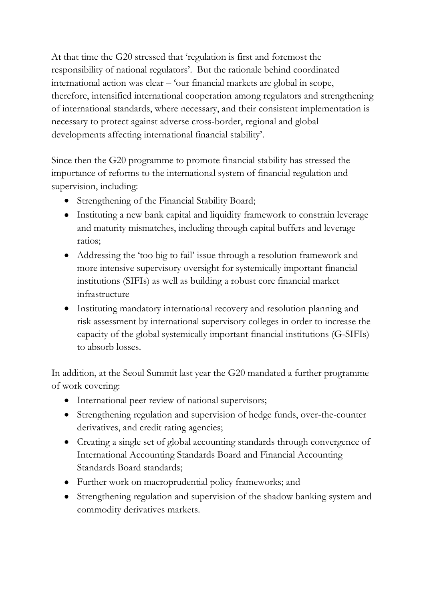At that time the G20 stressed that 'regulation is first and foremost the responsibility of national regulators'. But the rationale behind coordinated international action was clear – 'our financial markets are global in scope, therefore, intensified international cooperation among regulators and strengthening of international standards, where necessary, and their consistent implementation is necessary to protect against adverse cross-border, regional and global developments affecting international financial stability'.

Since then the G20 programme to promote financial stability has stressed the importance of reforms to the international system of financial regulation and supervision, including:

- Strengthening of the Financial Stability Board;
- Instituting a new bank capital and liquidity framework to constrain leverage and maturity mismatches, including through capital buffers and leverage ratios;
- Addressing the 'too big to fail' issue through a resolution framework and more intensive supervisory oversight for systemically important financial institutions (SIFIs) as well as building a robust core financial market infrastructure
- Instituting mandatory international recovery and resolution planning and risk assessment by international supervisory colleges in order to increase the capacity of the global systemically important financial institutions (G-SIFIs) to absorb losses.

In addition, at the Seoul Summit last year the G20 mandated a further programme of work covering:

- International peer review of national supervisors;
- Strengthening regulation and supervision of hedge funds, over-the-counter derivatives, and credit rating agencies;
- Creating a single set of global accounting standards through convergence of International Accounting Standards Board and Financial Accounting Standards Board standards;
- Further work on macroprudential policy frameworks; and
- Strengthening regulation and supervision of the shadow banking system and commodity derivatives markets.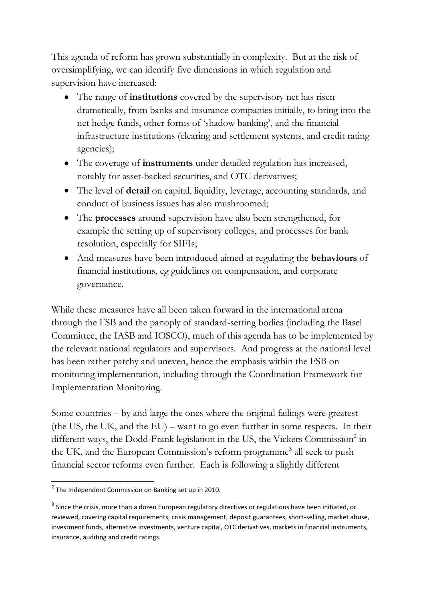This agenda of reform has grown substantially in complexity. But at the risk of oversimplifying, we can identify five dimensions in which regulation and supervision have increased:

- The range of **institutions** covered by the supervisory net has risen dramatically, from banks and insurance companies initially, to bring into the net hedge funds, other forms of 'shadow banking', and the financial infrastructure institutions (clearing and settlement systems, and credit rating agencies);
- The coverage of **instruments** under detailed regulation has increased, notably for asset-backed securities, and OTC derivatives;
- The level of **detail** on capital, liquidity, leverage, accounting standards, and conduct of business issues has also mushroomed;
- The **processes** around supervision have also been strengthened, for example the setting up of supervisory colleges, and processes for bank resolution, especially for SIFIs;
- And measures have been introduced aimed at regulating the **behaviours** of financial institutions, eg guidelines on compensation, and corporate governance.

While these measures have all been taken forward in the international arena through the FSB and the panoply of standard-setting bodies (including the Basel Committee, the IASB and IOSCO), much of this agenda has to be implemented by the relevant national regulators and supervisors. And progress at the national level has been rather patchy and uneven, hence the emphasis within the FSB on monitoring implementation, including through the Coordination Framework for Implementation Monitoring.

Some countries – by and large the ones where the original failings were greatest (the US, the UK, and the EU) – want to go even further in some respects. In their different ways, the Dodd-Frank legislation in the US, the Vickers Commission<sup>2</sup> in the UK, and the European Commission's reform programme<sup>3</sup> all seek to push financial sector reforms even further. Each is following a slightly different

 2 The Independent Commission on Banking set up in 2010.

 $^3$  Since the crisis, more than a dozen European regulatory directives or regulations have been initiated, or reviewed, covering capital requirements, crisis management, deposit guarantees, short-selling, market abuse, investment funds, alternative investments, venture capital, OTC derivatives, markets in financial instruments, insurance, auditing and credit ratings.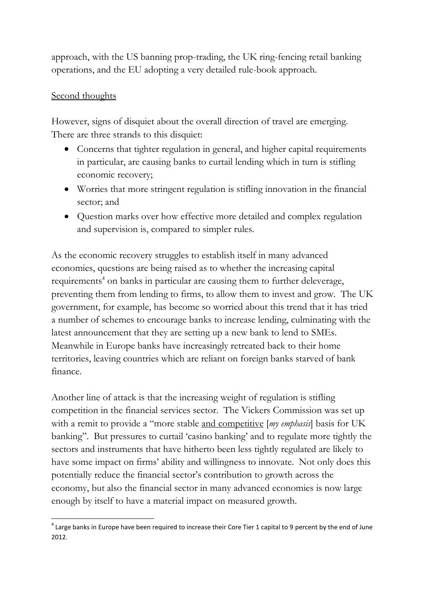approach, with the US banning prop-trading, the UK ring-fencing retail banking operations, and the EU adopting a very detailed rule-book approach.

#### Second thoughts

However, signs of disquiet about the overall direction of travel are emerging. There are three strands to this disquiet:

- Concerns that tighter regulation in general, and higher capital requirements in particular, are causing banks to curtail lending which in turn is stifling economic recovery;
- Worries that more stringent regulation is stifling innovation in the financial sector; and
- Question marks over how effective more detailed and complex regulation and supervision is, compared to simpler rules.

As the economic recovery struggles to establish itself in many advanced economies, questions are being raised as to whether the increasing capital requirements<sup>4</sup> on banks in particular are causing them to further deleverage, preventing them from lending to firms, to allow them to invest and grow. The UK government, for example, has become so worried about this trend that it has tried a number of schemes to encourage banks to increase lending, culminating with the latest announcement that they are setting up a new bank to lend to SMEs. Meanwhile in Europe banks have increasingly retreated back to their home territories, leaving countries which are reliant on foreign banks starved of bank finance.

Another line of attack is that the increasing weight of regulation is stifling competition in the financial services sector. The Vickers Commission was set up with a remit to provide a "more stable and competitive [*my emphasis*] basis for UK banking". But pressures to curtail 'casino banking' and to regulate more tightly the sectors and instruments that have hitherto been less tightly regulated are likely to have some impact on firms' ability and willingness to innovate. Not only does this potentially reduce the financial sector's contribution to growth across the economy, but also the financial sector in many advanced economies is now large enough by itself to have a material impact on measured growth.

<sup>1</sup>  $^4$  Large banks in Europe have been required to increase their Core Tier 1 capital to 9 percent by the end of June 2012.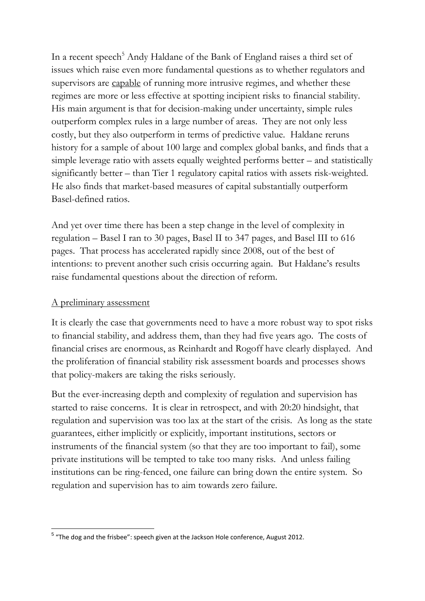In a recent speech<sup>5</sup> Andy Haldane of the Bank of England raises a third set of issues which raise even more fundamental questions as to whether regulators and supervisors are capable of running more intrusive regimes, and whether these regimes are more or less effective at spotting incipient risks to financial stability. His main argument is that for decision-making under uncertainty, simple rules outperform complex rules in a large number of areas. They are not only less costly, but they also outperform in terms of predictive value. Haldane reruns history for a sample of about 100 large and complex global banks, and finds that a simple leverage ratio with assets equally weighted performs better – and statistically significantly better – than Tier 1 regulatory capital ratios with assets risk-weighted. He also finds that market-based measures of capital substantially outperform Basel-defined ratios.

And yet over time there has been a step change in the level of complexity in regulation – Basel I ran to 30 pages, Basel II to 347 pages, and Basel III to 616 pages. That process has accelerated rapidly since 2008, out of the best of intentions: to prevent another such crisis occurring again. But Haldane's results raise fundamental questions about the direction of reform.

### A preliminary assessment

It is clearly the case that governments need to have a more robust way to spot risks to financial stability, and address them, than they had five years ago. The costs of financial crises are enormous, as Reinhardt and Rogoff have clearly displayed. And the proliferation of financial stability risk assessment boards and processes shows that policy-makers are taking the risks seriously.

But the ever-increasing depth and complexity of regulation and supervision has started to raise concerns. It is clear in retrospect, and with 20:20 hindsight, that regulation and supervision was too lax at the start of the crisis. As long as the state guarantees, either implicitly or explicitly, important institutions, sectors or instruments of the financial system (so that they are too important to fail), some private institutions will be tempted to take too many risks. And unless failing institutions can be ring-fenced, one failure can bring down the entire system. So regulation and supervision has to aim towards zero failure.

<sup>1</sup> <sup>5</sup> "The dog and the frisbee": speech given at the Jackson Hole conference, August 2012.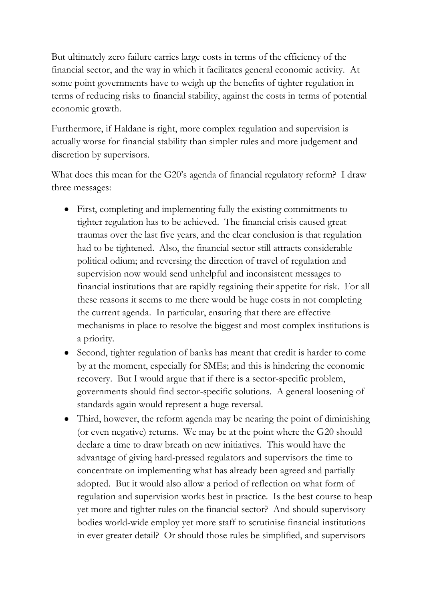But ultimately zero failure carries large costs in terms of the efficiency of the financial sector, and the way in which it facilitates general economic activity. At some point governments have to weigh up the benefits of tighter regulation in terms of reducing risks to financial stability, against the costs in terms of potential economic growth.

Furthermore, if Haldane is right, more complex regulation and supervision is actually worse for financial stability than simpler rules and more judgement and discretion by supervisors.

What does this mean for the G20's agenda of financial regulatory reform? I draw three messages:

- First, completing and implementing fully the existing commitments to tighter regulation has to be achieved. The financial crisis caused great traumas over the last five years, and the clear conclusion is that regulation had to be tightened. Also, the financial sector still attracts considerable political odium; and reversing the direction of travel of regulation and supervision now would send unhelpful and inconsistent messages to financial institutions that are rapidly regaining their appetite for risk. For all these reasons it seems to me there would be huge costs in not completing the current agenda. In particular, ensuring that there are effective mechanisms in place to resolve the biggest and most complex institutions is a priority.
- Second, tighter regulation of banks has meant that credit is harder to come by at the moment, especially for SMEs; and this is hindering the economic recovery. But I would argue that if there is a sector-specific problem, governments should find sector-specific solutions. A general loosening of standards again would represent a huge reversal.
- Third, however, the reform agenda may be nearing the point of diminishing (or even negative) returns. We may be at the point where the G20 should declare a time to draw breath on new initiatives. This would have the advantage of giving hard-pressed regulators and supervisors the time to concentrate on implementing what has already been agreed and partially adopted. But it would also allow a period of reflection on what form of regulation and supervision works best in practice. Is the best course to heap yet more and tighter rules on the financial sector? And should supervisory bodies world-wide employ yet more staff to scrutinise financial institutions in ever greater detail? Or should those rules be simplified, and supervisors